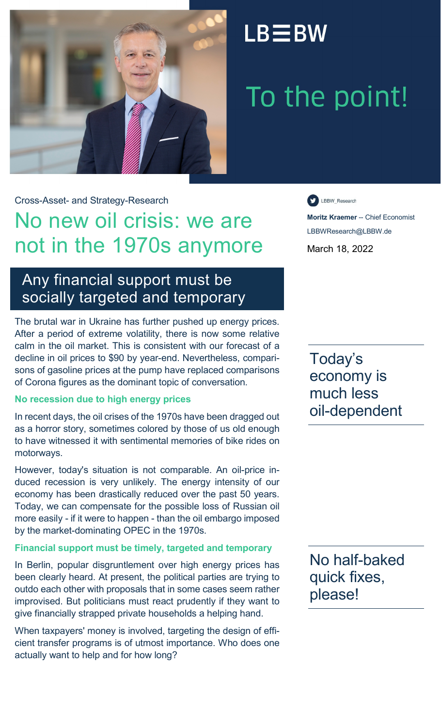

## $LB \equiv BW$

# To the point!

Cross-Asset- and Strategy-Research

## No new oil crisis: we are not in the 1970s anymore

### Any financial support must be socially targeted and temporary

The brutal war in Ukraine has further pushed up energy prices. After a period of extreme volatility, there is now some relative calm in the oil market. This is consistent with our forecast of a decline in oil prices to \$90 by year-end. Nevertheless, comparisons of gasoline prices at the pump have replaced comparisons of Corona figures as the dominant topic of conversation.

#### **No recession due to high energy prices**

In recent days, the oil crises of the 1970s have been dragged out as a horror story, sometimes colored by those of us old enough to have witnessed it with sentimental memories of bike rides on motorways.

However, today's situation is not comparable. An oil-price induced recession is very unlikely. The energy intensity of our economy has been drastically reduced over the past 50 years. Today, we can compensate for the possible loss of Russian oil more easily - if it were to happen - than the oil embargo imposed by the market-dominating OPEC in the 1970s.

#### **Financial support must be timely, targeted and temporary**

In Berlin, popular disgruntlement over high energy prices has been clearly heard. At present, the political parties are trying to outdo each other with proposals that in some cases seem rather improvised. But politicians must react prudently if they want to give financially strapped private households a helping hand.

When taxpayers' money is involved, targeting the design of efficient transfer programs is of utmost importance. Who does one actually want to help and for how long?

LBBW\_Research

**Moritz Kraemer** -- Chief Economist LBBWResearch@LBBW.de March 18, 2022

Today's economy is much less oil-dependent

No half-baked quick fixes, please!